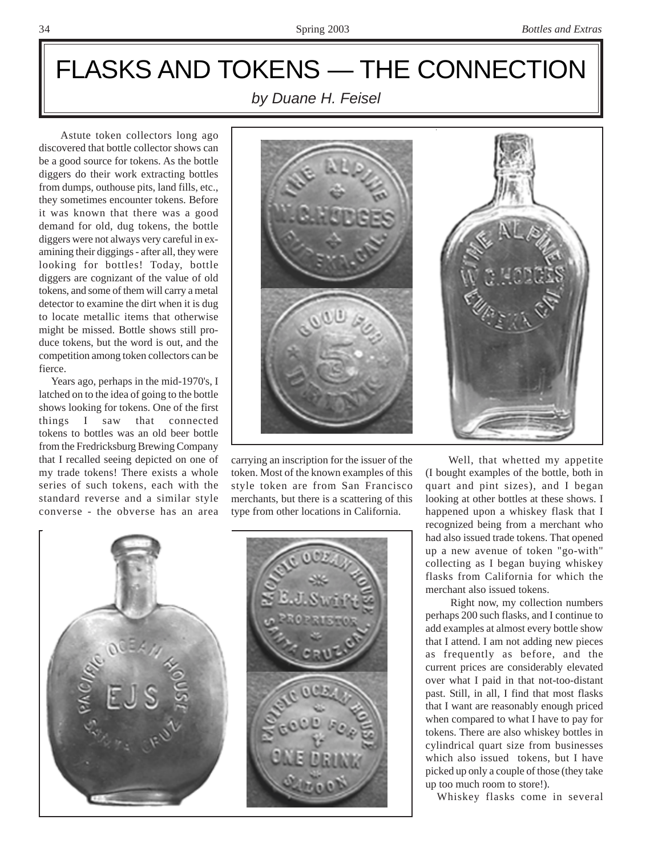## FLASKS AND TOKENS — THE CONNECTION

*by Duane H. Feisel*

 Astute token collectors long ago discovered that bottle collector shows can be a good source for tokens. As the bottle diggers do their work extracting bottles from dumps, outhouse pits, land fills, etc., they sometimes encounter tokens. Before it was known that there was a good demand for old, dug tokens, the bottle diggers were not always very careful in examining their diggings - after all, they were looking for bottles! Today, bottle diggers are cognizant of the value of old tokens, and some of them will carry a metal detector to examine the dirt when it is dug to locate metallic items that otherwise might be missed. Bottle shows still produce tokens, but the word is out, and the competition among token collectors can be fierce.

 Years ago, perhaps in the mid-1970's, I latched on to the idea of going to the bottle shows looking for tokens. One of the first things I saw that connected tokens to bottles was an old beer bottle from the Fredricksburg Brewing Company that I recalled seeing depicted on one of my trade tokens! There exists a whole series of such tokens, each with the standard reverse and a similar style converse - the obverse has an area



carrying an inscription for the issuer of the token. Most of the known examples of this style token are from San Francisco merchants, but there is a scattering of this type from other locations in California.



 Well, that whetted my appetite (I bought examples of the bottle, both in quart and pint sizes), and I began looking at other bottles at these shows. I happened upon a whiskey flask that I recognized being from a merchant who had also issued trade tokens. That opened up a new avenue of token "go-with" collecting as I began buying whiskey flasks from California for which the merchant also issued tokens.

 Right now, my collection numbers perhaps 200 such flasks, and I continue to add examples at almost every bottle show that I attend. I am not adding new pieces as frequently as before, and the current prices are considerably elevated over what I paid in that not-too-distant past. Still, in all, I find that most flasks that I want are reasonably enough priced when compared to what I have to pay for tokens. There are also whiskey bottles in cylindrical quart size from businesses which also issued tokens, but I have picked up only a couple of those (they take up too much room to store!).

Whiskey flasks come in several